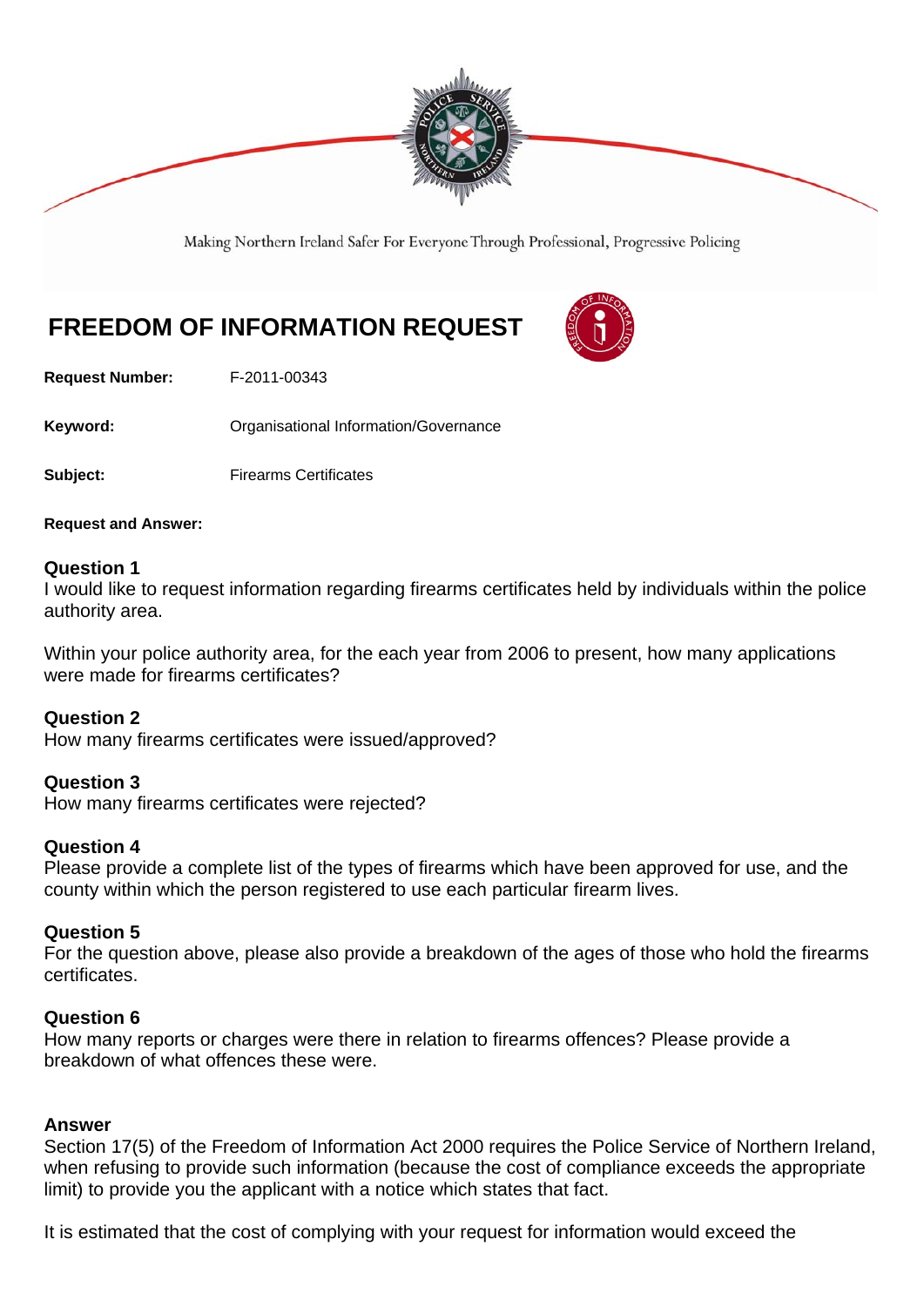

Making Northern Ireland Safer For Everyone Through Professional, Progressive Policing

# **FREEDOM OF INFORMATION REQUEST**



**Request Number:** F-2011-00343

**Keyword:** Organisational Information/Governance

**Subject:** Firearms Certificates

**Request and Answer:** 

### **Question 1**

I would like to request information regarding firearms certificates held by individuals within the police authority area.

Within your police authority area, for the each year from 2006 to present, how many applications were made for firearms certificates?

## **Question 2**

How many firearms certificates were issued/approved?

## **Question 3**

How many firearms certificates were rejected?

#### **Question 4**

Please provide a complete list of the types of firearms which have been approved for use, and the county within which the person registered to use each particular firearm lives.

#### **Question 5**

For the question above, please also provide a breakdown of the ages of those who hold the firearms certificates.

## **Question 6**

How many reports or charges were there in relation to firearms offences? Please provide a breakdown of what offences these were.

#### **Answer**

Section 17(5) of the Freedom of Information Act 2000 requires the Police Service of Northern Ireland, when refusing to provide such information (because the cost of compliance exceeds the appropriate limit) to provide you the applicant with a notice which states that fact.

It is estimated that the cost of complying with your request for information would exceed the